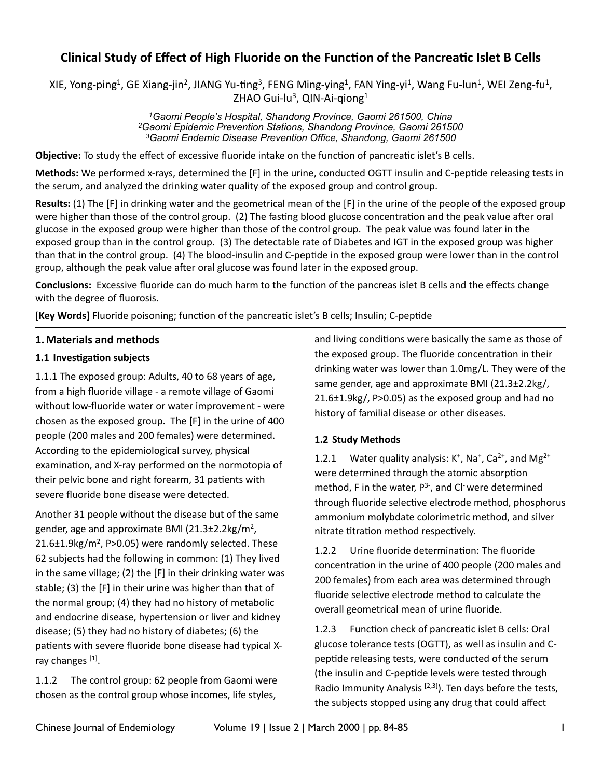# Clinical Study of Effect of High Fluoride on the Function of the Pancreatic Islet B Cells

XIE, Yong-ping<sup>1</sup>, GE Xiang-jin<sup>2</sup>, JIANG Yu-ting<sup>3</sup>, FENG Ming-ying<sup>1</sup>, FAN Ying-yi<sup>1</sup>, Wang Fu-lun<sup>1</sup>, WEI Zeng-fu<sup>1</sup>, ZHAO Gui-lu<sup>3</sup>, QIN-Ai-qiong<sup>1</sup>

> *1Gaomi People's Hospital, Shandong Province, Gaomi 261500, China 2Gaomi Epidemic Prevention Stations, Shandong Province, Gaomi 261500 3Gaomi Endemic Disease Prevention Office, Shandong, Gaomi 261500*

**Objective:** To study the effect of excessive fluoride intake on the function of pancreatic islet's B cells.

**Methods:** We performed x-rays, determined the [F] in the urine, conducted OGTT insulin and C-peptide releasing tests in the serum, and analyzed the drinking water quality of the exposed group and control group.

**Results:** (1) The [F] in drinking water and the geometrical mean of the [F] in the urine of the people of the exposed group were higher than those of the control group. (2) The fasting blood glucose concentration and the peak value after oral glucose in the exposed group were higher than those of the control group. The peak value was found later in the exposed group than in the control group. (3) The detectable rate of Diabetes and IGT in the exposed group was higher than that in the control group. (4) The blood-insulin and C-peptide in the exposed group were lower than in the control group, although the peak value after oral glucose was found later in the exposed group.

**Conclusions:** Excessive fluoride can do much harm to the function of the pancreas islet B cells and the effects change with the degree of fluorosis.

**[Key Words]** Fluoride poisoning; function of the pancreatic islet's B cells; Insulin; C-peptide

# **1. Materials and methods**

#### **1.1 Investigation subjects**

1.1.1 The exposed group: Adults, 40 to 68 years of age, from a high fluoride village - a remote village of Gaomi without low-fluoride water or water improvement - were chosen as the exposed group. The  $[F]$  in the urine of 400 people (200 males and 200 females) were determined. According to the epidemiological survey, physical examination, and X-ray performed on the normotopia of their pelvic bone and right forearm, 31 patients with severe fluoride bone disease were detected.

Another 31 people without the disease but of the same gender, age and approximate BMI (21.3 $\pm$ 2.2kg/m<sup>2</sup>,  $21.6\pm1.9$ kg/m<sup>2</sup>, P $>0.05$ ) were randomly selected. These 62 subjects had the following in common: (1) They lived in the same village; (2) the  $[F]$  in their drinking water was stable; (3) the [F] in their urine was higher than that of the normal group; (4) they had no history of metabolic and endocrine disease, hypertension or liver and kidney disease; (5) they had no history of diabetes; (6) the patients with severe fluoride bone disease had typical Xray changes [1].

1.1.2 The control group: 62 people from Gaomi were chosen as the control group whose incomes, life styles,

and living conditions were basically the same as those of the exposed group. The fluoride concentration in their drinking water was lower than 1.0mg/L. They were of the same gender, age and approximate BMI  $(21.3\pm2.2\text{kg})$ ,  $21.6\pm1.9$ kg/, P $>0.05$ ) as the exposed group and had no history of familial disease or other diseases.

# **1.2 Study Methods**

1.2.1 Water quality analysis:  $K^+$ , Na<sup>+</sup>, Ca<sup>2+</sup>, and Mg<sup>2+</sup> were determined through the atomic absorption method, F in the water,  $P^{3-}$ , and Cl<sup>-</sup> were determined through fluoride selective electrode method, phosphorus ammonium molybdate colorimetric method, and silver nitrate titration method respectively.

1.2.2 Urine fluoride determination: The fluoride concentration in the urine of 400 people (200 males and 200 females) from each area was determined through fluoride selective electrode method to calculate the overall geometrical mean of urine fluoride.

1.2.3 Function check of pancreatic islet B cells: Oral glucose tolerance tests (OGTT), as well as insulin and Cpeptide releasing tests, were conducted of the serum (the insulin and C-peptide levels were tested through Radio Immunity Analysis  $[2,3]$ . Ten days before the tests, the subjects stopped using any drug that could affect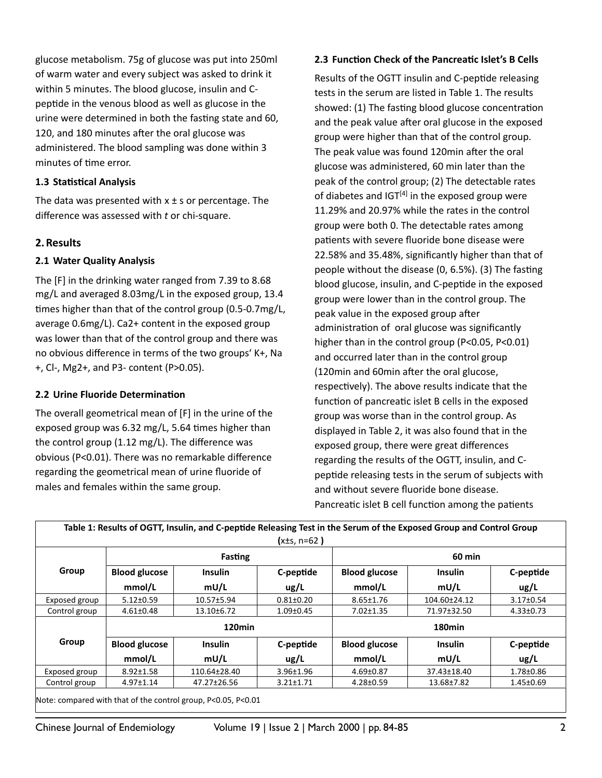glucose metabolism. 75g of glucose was put into 250ml of warm water and every subject was asked to drink it within 5 minutes. The blood glucose, insulin and Cpeptide in the venous blood as well as glucose in the urine were determined in both the fasting state and 60, 120, and 180 minutes after the oral glucose was administered. The blood sampling was done within 3 minutes of time error.

#### **1.3 Statistical Analysis**

The data was presented with  $x \pm s$  or percentage. The difference was assessed with *t* or chi-square.

# **2.Results**

# **2.1 Water Quality Analysis**

The [F] in the drinking water ranged from 7.39 to 8.68 mg/L and averaged 8.03mg/L in the exposed group, 13.4 times higher than that of the control group  $(0.5-0.7mg/L,$ average 0.6mg/L). Ca2+ content in the exposed group was lower than that of the control group and there was no obvious difference in terms of the two groups' K+, Na +, Cl-, Mg2+, and P3- content (P>0.05).

#### **2.2 Urine Fluoride Determination**

The overall geometrical mean of [F] in the urine of the exposed group was  $6.32$  mg/L,  $5.64$  times higher than the control group  $(1.12 \text{ mg/L})$ . The difference was obvious (P<0.01). There was no remarkable difference regarding the geometrical mean of urine fluoride of males and females within the same group.

#### **2.3 Function Check of the Pancreatic Islet's B Cells**

Results of the OGTT insulin and C-peptide releasing tests in the serum are listed in Table 1. The results showed: (1) The fasting blood glucose concentration and the peak value after oral glucose in the exposed group were higher than that of the control group. The peak value was found 120min after the oral glucose was administered, 60 min later than the peak of the control group; (2) The detectable rates of diabetes and  $IGT<sup>[4]</sup>$  in the exposed group were 11.29% and 20.97% while the rates in the control group were both 0. The detectable rates among patients with severe fluoride bone disease were 22.58% and 35.48%, significantly higher than that of people without the disease  $(0, 6.5%)$ .  $(3)$  The fasting blood glucose, insulin, and C-peptide in the exposed group were lower than in the control group. The peak value in the exposed group after administration of oral glucose was significantly higher than in the control group  $(P<0.05, P<0.01)$ and occurred later than in the control group (120min and 60min after the oral glucose, respectively). The above results indicate that the function of pancreatic islet B cells in the exposed group was worse than in the control group. As displayed in Table 2, it was also found that in the exposed group, there were great differences regarding the results of the OGTT, insulin, and Cpeptide releasing tests in the serum of subjects with and without severe fluoride bone disease. Pancreatic islet B cell function among the patients

|               |                      |                        | $(x±s, n=62)$     |                                        |                |                 |  |
|---------------|----------------------|------------------------|-------------------|----------------------------------------|----------------|-----------------|--|
| Group         | Fasting              |                        |                   | <b>60 min</b>                          |                |                 |  |
|               | <b>Blood glucose</b> | <b>Insulin</b><br>mU/L | C-peptide<br>ug/L | <b>Blood glucose</b>                   | <b>Insulin</b> | C-peptide       |  |
|               | mmol/L               |                        |                   | mmol/L                                 | mU/L           | ug/L            |  |
| Exposed group | $5.12 \pm 0.59$      | $10.57 \pm 5.94$       | $0.81 \pm 0.20$   | $8.65 \pm 1.76$                        | 104.60±24.12   | $3.17 \pm 0.54$ |  |
| Control group | $4.61 \pm 0.48$      | 13.10±6.72             | $1.09 \pm 0.45$   | $7.02 \pm 1.35$                        | 71.97±32.50    | $4.33 \pm 0.73$ |  |
| Group         | 120 <sub>min</sub>   |                        |                   | 180 <sub>min</sub>                     |                |                 |  |
|               | <b>Blood glucose</b> | <b>Insulin</b>         | C-peptide         | <b>Blood glucose</b><br><b>Insulin</b> |                | C-peptide       |  |
|               | mmol/L               | mU/L                   | ug/L              | mmol/L                                 | mU/L           | ug/L            |  |
| Exposed group | $8.92 \pm 1.58$      | 110.64±28.40           | $3.96 \pm 1.96$   | $4.69 \pm 0.87$                        | 37.43±18.40    | 1.78±0.86       |  |
| Control group | $4.97 \pm 1.14$      | 47.27±26.56            | $3.21 \pm 1.71$   | $4.28 \pm 0.59$                        | 13.68±7.82     | $1.45 \pm 0.69$ |  |

Note: compared with that of the control group, P<0.05, P<0.01